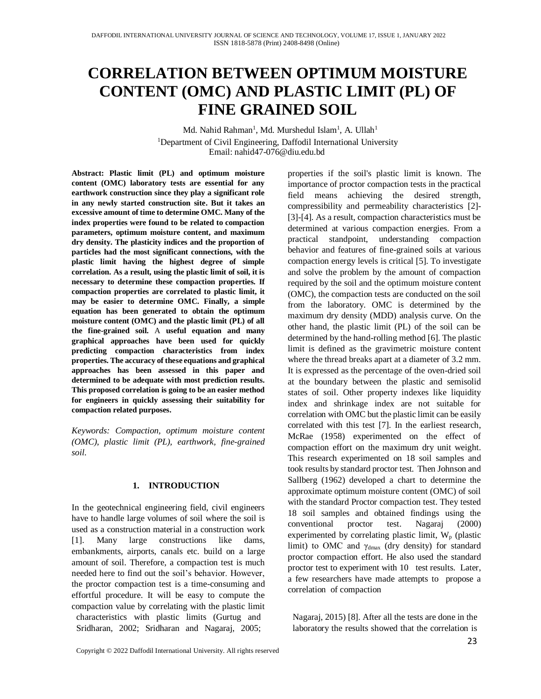# **CORRELATION BETWEEN OPTIMUM MOISTURE CONTENT (OMC) AND PLASTIC LIMIT (PL) OF FINE GRAINED SOIL**

Md. Nahid Rahman<sup>1</sup>, Md. Murshedul Islam<sup>1</sup>, A. Ullah<sup>1</sup> <sup>1</sup>Department of Civil Engineering, Daffodil International University Email: nahid47-076@diu.edu.bd

**Abstract: Plastic limit (PL) and optimum moisture content (OMC) laboratory tests are essential for any earthwork construction since they play a significant role in any newly started construction site. But it takes an excessive amount of time to determine OMC. Many of the index properties were found to be related to compaction parameters, optimum moisture content, and maximum dry density. The plasticity indices and the proportion of particles had the most significant connections, with the plastic limit having the highest degree of simple correlation. As a result, using the plastic limit of soil, it is necessary to determine these compaction properties. If compaction properties are correlated to plastic limit, it may be easier to determine OMC. Finally, a simple equation has been generated to obtain the optimum moisture content (OMC) and the plastic limit (PL) of all the fine-grained soil.** A **useful equation and many graphical approaches have been used for quickly predicting compaction characteristics from index properties. The accuracy of these equations and graphical approaches has been assessed in this paper and determined to be adequate with most prediction results. This proposed correlation is going to be an easier method for engineers in quickly assessing their suitability for compaction related purposes.** 

*Keywords: Compaction, optimum moisture content (OMC), plastic limit (PL), earthwork, fine-grained soil.*

### **1. INTRODUCTION**

In the geotechnical engineering field, civil engineers have to handle large volumes of soil where the soil is used as a construction material in a construction work [1]. Many large constructions like dams, embankments, airports, canals etc. build on a large amount of soil. Therefore, a compaction test is much needed here to find out the soil's behavior. However, the proctor compaction test is a time-consuming and effortful procedure. It will be easy to compute the compaction value by correlating with the plastic limit characteristics with plastic limits (Gurtug and Sridharan, 2002; Sridharan and Nagaraj, 2005;

properties if the soil's plastic limit is known. The importance of proctor compaction tests in the practical field means achieving the desired strength, compressibility and permeability characteristics [2]- [3]-[4]. As a result, compaction characteristics must be determined at various compaction energies. From a practical standpoint, understanding compaction behavior and features of fine-grained soils at various compaction energy levels is critical [5]. To investigate and solve the problem by the amount of compaction required by the soil and the optimum moisture content (OMC), the compaction tests are conducted on the soil from the laboratory. OMC is determined by the maximum dry density (MDD) analysis curve. On the other hand, the plastic limit (PL) of the soil can be determined by the hand-rolling method [6]. The plastic limit is defined as the gravimetric moisture content where the thread breaks apart at a diameter of 3.2 mm. It is expressed as the percentage of the oven-dried soil at the boundary between the plastic and semisolid states of soil. Other property indexes like liquidity index and shrinkage index are not suitable for correlation with OMC but the plastic limit can be easily correlated with this test [7]. In the earliest research, McRae (1958) experimented on the effect of compaction effort on the maximum dry unit weight. This research experimented on 18 soil samples and took results by standard proctor test. Then Johnson and Sallberg (1962) developed a chart to determine the approximate optimum moisture content (OMC) of soil with the standard Proctor compaction test. They tested 18 soil samples and obtained findings using the conventional proctor test. Nagaraj (2000) experimented by correlating plastic limit,  $W_p$  (plastic limit) to OMC and  $\gamma_{\text{dmax}}$  (dry density) for standard proctor compaction effort. He also used the standard proctor test to experiment with 10 test results. Later, a few researchers have made attempts to propose a correlation of compaction

Nagaraj, 2015) [8]. After all the tests are done in the laboratory the results showed that the correlation is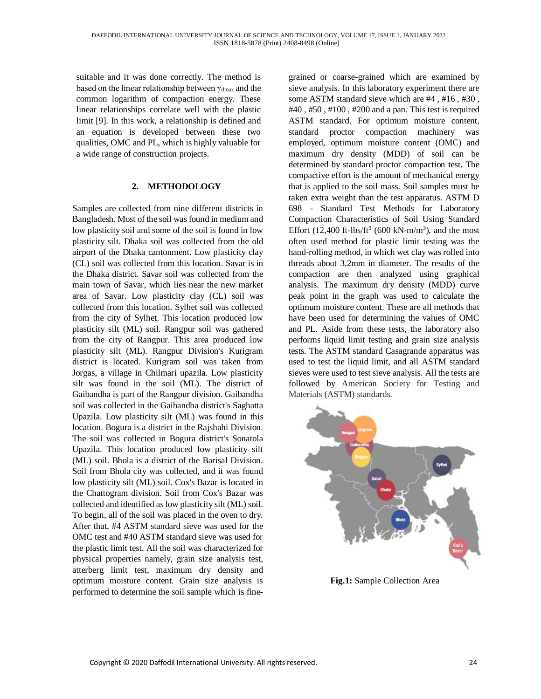suitable and it was done correctly. The method is based on the linear relationship between γdmax and the common logarithm of compaction energy. These linear relationships correlate well with the plastic limit [9]. In this work, a relationship is defined and an equation is developed between these two qualities, OMC and PL, which is highly valuable for a wide range of construction projects.

### **2. METHODOLOGY**

Samples are collected from nine different districts in Bangladesh. Most of the soil was found in medium and low plasticity soil and some of the soil is found in low plasticity silt. Dhaka soil was collected from the old airport of the Dhaka cantonment. Low plasticity clay (CL) soil was collected from this location. Savar is in the Dhaka district. Savar soil was collected from the main town of Savar, which lies near the new market area of Savar. Low plasticity clay (CL) soil was collected from this location. Sylhet soil was collected from the city of Sylhet. This location produced low plasticity silt (ML) soil. Rangpur soil was gathered from the city of Rangpur. This area produced low plasticity silt (ML). Rangpur Division's Kurigram district is located. Kurigram soil was taken from Jorgas, a village in Chilmari upazila. Low plasticity silt was found in the soil (ML). The district of Gaibandha is part of the Rangpur division. Gaibandha soil was collected in the Gaibandha district's Saghatta Upazila. Low plasticity silt (ML) was found in this location. Bogura is a district in the Rajshahi Division. The soil was collected in Bogura district's Sonatola Upazila. This location produced low plasticity silt (ML) soil. Bhola is a district of the Barisal Division. Soil from Bhola city was collected, and it was found low plasticity silt (ML) soil. Cox's Bazar is located in the Chattogram division. Soil from Cox's Bazar was collected and identified as low plasticity silt (ML) soil. To begin, all of the soil was placed in the oven to dry. After that, #4 ASTM standard sieve was used for the OMC test and #40 ASTM standard sieve was used for the plastic limit test. All the soil was characterized for physical properties namely, grain size analysis test, atterberg limit test, maximum dry density and optimum moisture content. Grain size analysis is performed to determine the soil sample which is finegrained or coarse-grained which are examined by sieve analysis. In this laboratory experiment there are some ASTM standard sieve which are #4 , #16 , #30 , #40 , #50 , #100 , #200 and a pan. This test is required ASTM standard. For optimum moisture content, standard proctor compaction machinery was employed, optimum moisture content (OMC) and maximum dry density (MDD) of soil can be determined by standard proctor compaction test. The compactive effort is the amount of mechanical energy that is applied to the soil mass. Soil samples must be taken extra weight than the test apparatus. ASTM D 698 - Standard Test Methods for Laboratory Compaction Characteristics of Soil Using Standard Effort  $(12,400 \text{ ft-lbs/ft}^3)(600 \text{ kN-m/m}^3)$ , and the most often used method for plastic limit testing was the hand-rolling method, in which wet clay was rolled into threads about 3.2mm in diameter. The results of the compaction are then analyzed using graphical analysis. The maximum dry density (MDD) curve peak point in the graph was used to calculate the optimum moisture content. These are all methods that have been used for determining the values of OMC and PL. Aside from these tests, the laboratory also performs liquid limit testing and grain size analysis tests. The ASTM standard Casagrande apparatus was used to test the liquid limit, and all ASTM standard sieves were used to test sieve analysis. All the tests are followed by American Society for Testing and Materials (ASTM) standards.



**Fig.1:** Sample Collection Area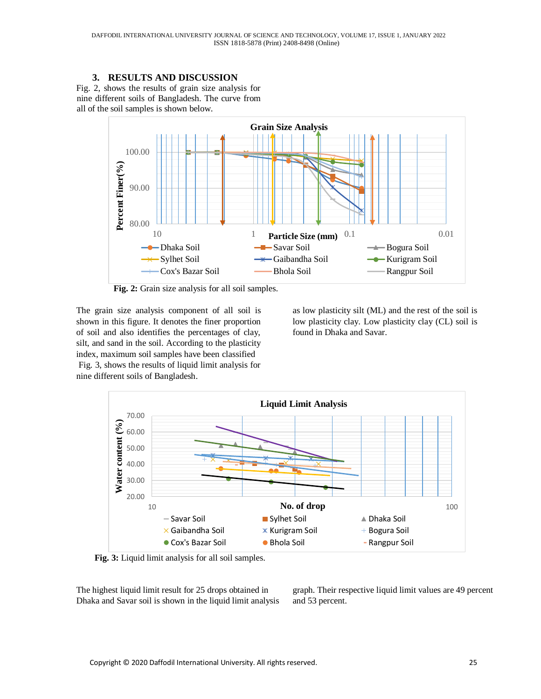# **3. RESULTS AND DISCUSSION**

Fig. 2, shows the results of grain size analysis for nine different soils of Bangladesh. The curve from all of the soil samples is shown below.



**Fig. 2:** Grain size analysis for all soil samples.

The grain size analysis component of all soil is shown in this figure. It denotes the finer proportion of soil and also identifies the percentages of clay, silt, and sand in the soil. According to the plasticity index, maximum soil samples have been classified Fig. 3, shows the results of liquid limit analysis for nine different soils of Bangladesh.

as low plasticity silt (ML) and the rest of the soil is low plasticity clay. Low plasticity clay (CL) soil is found in Dhaka and Savar.



**Fig. 3:** Liquid limit analysis for all soil samples.

The highest liquid limit result for 25 drops obtained in Dhaka and Savar soil is shown in the liquid limit analysis graph. Their respective liquid limit values are 49 percent and 53 percent.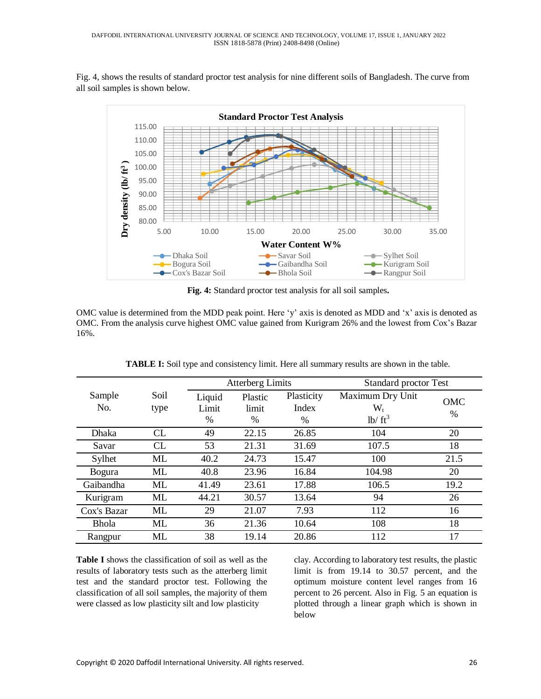Fig. 4, shows the results of standard proctor test analysis for nine different soils of Bangladesh. The curve from all soil samples is shown below.



**Fig. 4:** Standard proctor test analysis for all soil samples**.**

OMC value is determined from the MDD peak point. Here 'y' axis is denoted as MDD and 'x' axis is denoted as OMC. From the analysis curve highest OMC value gained from Kurigram 26% and the lowest from Cox's Bazar 16%.

|               |              | <b>Atterberg Limits</b> |                       |                                      | <b>Standard proctor Test</b>                 |             |
|---------------|--------------|-------------------------|-----------------------|--------------------------------------|----------------------------------------------|-------------|
| Sample<br>No. | Soil<br>type | Liquid<br>Limit<br>$\%$ | Plastic<br>limit<br>% | Plasticity<br>Index<br>$\frac{0}{0}$ | Maximum Dry Unit<br>$\rm W_{t}$<br>$1b/ft^3$ | OMC<br>$\%$ |
| <b>Dhaka</b>  | CL           | 49                      | 22.15                 | 26.85                                | 104                                          | 20          |
| Savar         | <b>CL</b>    | 53                      | 21.31                 | 31.69                                | 107.5                                        | 18          |
| Sylhet        | ML           | 40.2                    | 24.73                 | 15.47                                | 100                                          | 21.5        |
| <b>Bogura</b> | ML           | 40.8                    | 23.96                 | 16.84                                | 104.98                                       | 20          |
| Gaibandha     | ML           | 41.49                   | 23.61                 | 17.88                                | 106.5                                        | 19.2        |
| Kurigram      | ML           | 44.21                   | 30.57                 | 13.64                                | 94                                           | 26          |
| Cox's Bazar   | ML           | 29                      | 21.07                 | 7.93                                 | 112                                          | 16          |
| <b>Bhola</b>  | ML           | 36                      | 21.36                 | 10.64                                | 108                                          | 18          |
| Rangpur       | ML           | 38                      | 19.14                 | 20.86                                | 112                                          | 17          |

**TABLE I:** Soil type and consistency limit. Here all summary results are shown in the table.

**Table I** shows the classification of soil as well as the results of laboratory tests such as the atterberg limit test and the standard proctor test. Following the classification of all soil samples, the majority of them were classed as low plasticity silt and low plasticity

clay. According to laboratory test results, the plastic limit is from 19.14 to 30.57 percent, and the optimum moisture content level ranges from 16 percent to 26 percent. Also in Fig. 5 an equation is plotted through a linear graph which is shown in below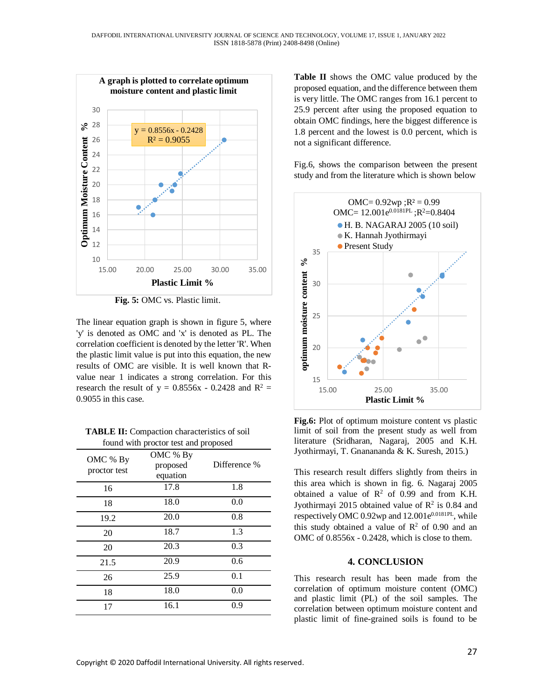

**Fig. 5:** OMC vs. Plastic limit.

The linear equation graph is shown in figure 5, where 'y' is denoted as OMC and 'x' is denoted as PL. The correlation coefficient is denoted by the letter 'R'. When the plastic limit value is put into this equation, the new results of OMC are visible. It is well known that Rvalue near 1 indicates a strong correlation. For this research the result of  $y = 0.8556x - 0.2428$  and  $R^2 =$ 0.9055 in this case.

**TABLE II:** Compaction characteristics of soil found with proctor test and proposed

| OMC % By<br>proctor test | OMC % By<br>proposed<br>equation | Difference % |
|--------------------------|----------------------------------|--------------|
| 16                       | 17.8                             | 1.8          |
| 18                       | 18.0                             | 0.0          |
| 19.2                     | 20.0                             | 0.8          |
| 20                       | 18.7                             | 1.3          |
| 20                       | 20.3                             | 0.3          |
| 21.5                     | 20.9                             | 0.6          |
| 26                       | 25.9                             | 0.1          |
| 18                       | 18.0                             | 0.0          |
| 17                       | 16.1                             | 0.9          |

**Table II** shows the OMC value produced by the proposed equation, and the difference between them is very little. The OMC ranges from 16.1 percent to 25.9 percent after using the proposed equation to obtain OMC findings, here the biggest difference is 1.8 percent and the lowest is 0.0 percent, which is not a significant difference.

Fig.6, shows the comparison between the present study and from the literature which is shown below



**Fig.6:** Plot of optimum moisture content vs plastic limit of soil from the present study as well from literature (Sridharan, Nagaraj, 2005 and K.H. Jyothirmayi, T. Gnanananda & K. Suresh, 2015.)

This research result differs slightly from theirs in this area which is shown in fig. 6. Nagaraj 2005 obtained a value of  $\mathbb{R}^2$  of 0.99 and from K.H. Jyothirmayi 2015 obtained value of  $\mathbb{R}^2$  is 0.84 and respectively OMC  $0.92$ wp and  $12.001e^{0.0181PL}$ , while this study obtained a value of  $\mathbb{R}^2$  of 0.90 and an OMC of 0.8556x - 0.2428, which is close to them.

#### **4. CONCLUSION**

This research result has been made from the correlation of optimum moisture content (OMC) and plastic limit (PL) of the soil samples. The correlation between optimum moisture content and plastic limit of fine-grained soils is found to be